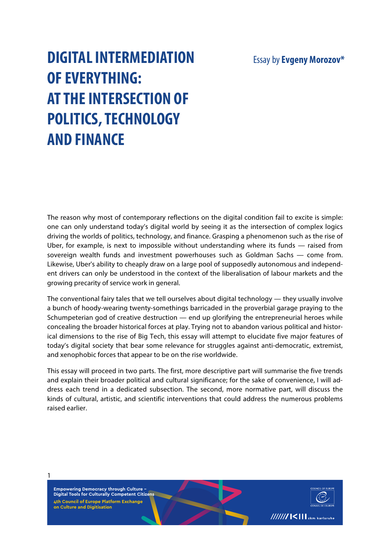# Essay by**Evgeny Morozov\***

# **DIGITAL INTERMEDIATION OF EVERYTHING: AT THE INTERSECTION OF POLITICS, TECHNOLOGY AND FINANCE**

The reason why most of contemporary reflections on the digital condition fail to excite is simple: one can only understand today's digital world by seeing it as the intersection of complex logics driving the worlds of politics, technology, and finance. Grasping a phenomenon such as the rise of Uber, for example, is next to impossible without understanding where its funds — raised from sovereign wealth funds and investment powerhouses such as Goldman Sachs — come from. Likewise, Uber's ability to cheaply draw on a large pool of supposedly autonomous and independent drivers can only be understood in the context of the liberalisation of labour markets and the growing precarity of service work in general.

The conventional fairy tales that we tell ourselves about digital technology — they usually involve a bunch of hoody-wearing twenty-somethings barricaded in the proverbial garage praying to the Schumpeterian god of creative destruction — end up glorifying the entrepreneurial heroes while concealing the broader historical forces at play. Trying not to abandon various political and historical dimensions to the rise of Big Tech, this essay will attempt to elucidate five major features of today's digital society that bear some relevance for struggles against anti-democratic, extremist, and xenophobic forces that appear to be on the rise worldwide.

This essay will proceed in two parts. The first, more descriptive part will summarise the five trends and explain their broader political and cultural significance; for the sake of convenience, I will address each trend in a dedicated subsection. The second, more normative part, will discuss the kinds of cultural, artistic, and scientific interventions that could address the numerous problems raised earlier.

**Empowering Democracy through Culture – Digital Tools for Culturally Competent Citizens 4th Council of Europe Platform Exchange on Culture and Digitisation**

1

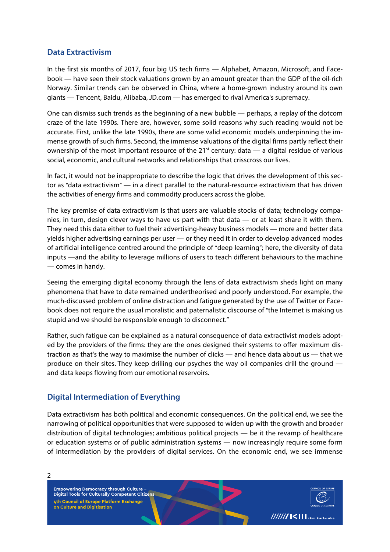#### **Data Extractivism**

In the first six months of 2017, four big US tech firms — Alphabet, Amazon, Microsoft, and Facebook — have seen their stock valuations grown by an amount greater than the GDP of the oil-rich Norway. Similar trends can be observed in China, where a home-grown industry around its own giants — Tencent, Baidu, Alibaba, JD.com — has emerged to rival America's supremacy.

One can dismiss such trends as the beginning of a new bubble — perhaps, a replay of the dotcom craze of the late 1990s. There are, however, some solid reasons why such reading would not be accurate. First, unlike the late 1990s, there are some valid economic models underpinning the immense growth of such firms. Second, the immense valuations of the digital firms partly reflect their ownership of the most important resource of the 21<sup>st</sup> century: data — a digital residue of various social, economic, and cultural networks and relationships that crisscross our lives.

In fact, it would not be inappropriate to describe the logic that drives the development of this sector as "data extractivism" — in a direct parallel to the natural-resource extractivism that has driven the activities of energy firms and commodity producers across the globe.

The key premise of data extractivism is that users are valuable stocks of data; technology companies, in turn, design clever ways to have us part with that data — or at least share it with them. They need this data either to fuel their advertising-heavy business models — more and better data yields higher advertising earnings per user — or they need it in order to develop advanced modes of artificial intelligence centred around the principle of "deep learning"; here, the diversity of data inputs —and the ability to leverage millions of users to teach different behaviours to the machine — comes in handy.

Seeing the emerging digital economy through the lens of data extractivism sheds light on many phenomena that have to date remained undertheorised and poorly understood. For example, the much-discussed problem of online distraction and fatigue generated by the use of Twitter or Facebook does not require the usual moralistic and paternalistic discourse of "the Internet is making us stupid and we should be responsible enough to disconnect."

Rather, such fatigue can be explained as a natural consequence of data extractivist models adopted by the providers of the firms: they are the ones designed their systems to offer maximum distraction as that's the way to maximise the number of clicks — and hence data about us — that we produce on their sites. They keep drilling our psyches the way oil companies drill the ground and data keeps flowing from our emotional reservoirs.

## **Digital Intermediation of Everything**

Data extractivism has both political and economic consequences. On the political end, we see the narrowing of political opportunities that were supposed to widen up with the growth and broader distribution of digital technologies; ambitious political projects — be it the revamp of healthcare or education systems or of public administration systems — now increasingly require some form of intermediation by the providers of digital services. On the economic end, we see immense

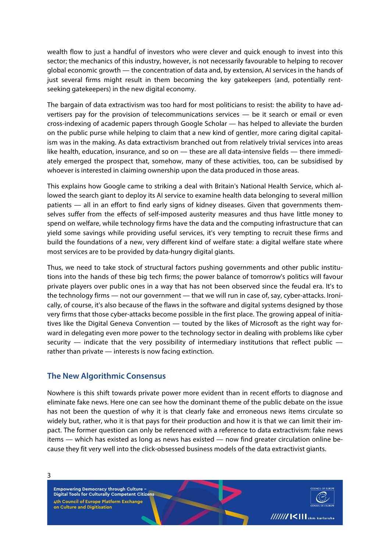wealth flow to just a handful of investors who were clever and quick enough to invest into this sector; the mechanics of this industry, however, is not necessarily favourable to helping to recover global economic growth — the concentration of data and, by extension, AI services in the hands of just several firms might result in them becoming the key gatekeepers (and, potentially rentseeking gatekeepers) in the new digital economy.

The bargain of data extractivism was too hard for most politicians to resist: the ability to have advertisers pay for the provision of telecommunications services — be it search or email or even cross-indexing of academic papers through Google Scholar — has helped to alleviate the burden on the public purse while helping to claim that a new kind of gentler, more caring digital capitalism was in the making. As data extractivism branched out from relatively trivial services into areas like health, education, insurance, and so on — these are all data-intensive fields — there immediately emerged the prospect that, somehow, many of these activities, too, can be subsidised by whoever is interested in claiming ownership upon the data produced in those areas.

This explains how Google came to striking a deal with Britain's National Health Service, which allowed the search giant to deploy its AI service to examine health data belonging to several million patients — all in an effort to find early signs of kidney diseases. Given that governments themselves suffer from the effects of self-imposed austerity measures and thus have little money to spend on welfare, while technology firms have the data and the computing infrastructure that can yield some savings while providing useful services, it's very tempting to recruit these firms and build the foundations of a new, very different kind of welfare state: a digital welfare state where most services are to be provided by data-hungry digital giants.

Thus, we need to take stock of structural factors pushing governments and other public institutions into the hands of these big tech firms; the power balance of tomorrow's politics will favour private players over public ones in a way that has not been observed since the feudal era. It's to the technology firms — not our government — that we will run in case of, say, cyber-attacks. Ironically, of course, it's also because of the flaws in the software and digital systems designed by those very firms that those cyber-attacks become possible in the first place. The growing appeal of initiatives like the Digital Geneva Convention — touted by the likes of Microsoft as the right way forward in delegating even more power to the technology sector in dealing with problems like cyber security — indicate that the very possibility of intermediary institutions that reflect public rather than private — interests is now facing extinction.

#### **The New Algorithmic Consensus**

Nowhere is this shift towards private power more evident than in recent efforts to diagnose and eliminate fake news. Here one can see how the dominant theme of the public debate on the issue has not been the question of why it is that clearly fake and erroneous news items circulate so widely but, rather, who it is that pays for their production and how it is that we can limit their impact. The former question can only be referenced with a reference to data extractivism: fake news items — which has existed as long as news has existed — now find greater circulation online because they fit very well into the click-obsessed business models of the data extractivist giants.

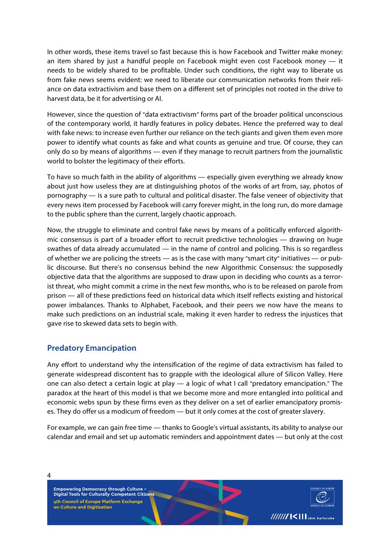In other words, these items travel so fast because this is how Facebook and Twitter make money: an item shared by just a handful people on Facebook might even cost Facebook money — it needs to be widely shared to be profitable. Under such conditions, the right way to liberate us from fake news seems evident: we need to liberate our communication networks from their reliance on data extractivism and base them on a different set of principles not rooted in the drive to harvest data, be it for advertising or AI.

However, since the question of "data extractivism" forms part of the broader political unconscious of the contemporary world, it hardly features in policy debates. Hence the preferred way to deal with fake news: to increase even further our reliance on the tech giants and given them even more power to identify what counts as fake and what counts as genuine and true. Of course, they can only do so by means of algorithms — even if they manage to recruit partners from the journalistic world to bolster the legitimacy of their efforts.

To have so much faith in the ability of algorithms — especially given everything we already know about just how useless they are at distinguishing photos of the works of art from, say, photos of pornography — is a sure path to cultural and political disaster. The false veneer of objectivity that every news item processed by Facebook will carry forever might, in the long run, do more damage to the public sphere than the current, largely chaotic approach.

Now, the struggle to eliminate and control fake news by means of a politically enforced algorithmic consensus is part of a broader effort to recruit predictive technologies — drawing on huge swathes of data already accumulated — in the name of control and policing. This is so regardless of whether we are policing the streets — as is the case with many "smart city" initiatives — or public discourse. But there's no consensus behind the new Algorithmic Consensus: the supposedly objective data that the algorithms are supposed to draw upon in deciding who counts as a terrorist threat, who might commit a crime in the next few months, who is to be released on parole from prison — all of these predictions feed on historical data which itself reflects existing and historical power imbalances. Thanks to Alphabet, Facebook, and their peers we now have the means to make such predictions on an industrial scale, making it even harder to redress the injustices that gave rise to skewed data sets to begin with.

## **Predatory Emancipation**

Any effort to understand why the intensification of the regime of data extractivism has failed to generate widespread discontent has to grapple with the ideological allure of Silicon Valley. Here one can also detect a certain logic at play — a logic of what I call "predatory emancipation." The paradox at the heart of this model is that we become more and more entangled into political and economic webs spun by these firms even as they deliver on a set of earlier emancipatory promises. They do offer us a modicum of freedom — but it only comes at the cost of greater slavery.

For example, we can gain free time — thanks to Google's virtual assistants, its ability to analyse our calendar and email and set up automatic reminders and appointment dates — but only at the cost

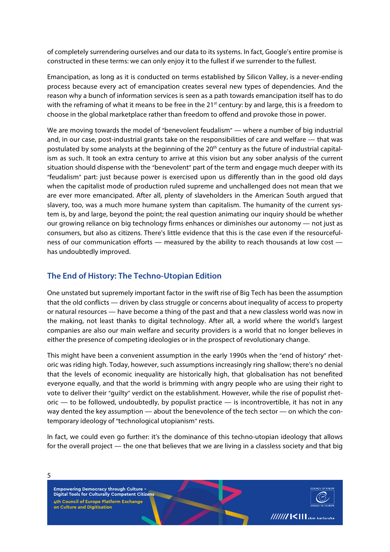of completely surrendering ourselves and our data to its systems. In fact, Google's entire promise is constructed in these terms: we can only enjoy it to the fullest if we surrender to the fullest.

Emancipation, as long as it is conducted on terms established by Silicon Valley, is a never-ending process because every act of emancipation creates several new types of dependencies. And the reason why a bunch of information services is seen as a path towards emancipation itself has to do with the reframing of what it means to be free in the 21<sup>st</sup> century: by and large, this is a freedom to choose in the global marketplace rather than freedom to offend and provoke those in power.

We are moving towards the model of "benevolent feudalism" — where a number of big industrial and, in our case, post-industrial grants take on the responsibilities of care and welfare — that was postulated by some analysts at the beginning of the 20<sup>th</sup> century as the future of industrial capitalism as such. It took an extra century to arrive at this vision but any sober analysis of the current situation should dispense with the "benevolent" part of the term and engage much deeper with its "feudalism" part: just because power is exercised upon us differently than in the good old days when the capitalist mode of production ruled supreme and unchallenged does not mean that we are ever more emancipated. After all, plenty of slaveholders in the American South argued that slavery, too, was a much more humane system than capitalism. The humanity of the current system is, by and large, beyond the point; the real question animating our inquiry should be whether our growing reliance on big technology firms enhances or diminishes our autonomy — not just as consumers, but also as citizens. There's little evidence that this is the case even if the resourcefulness of our communication efforts — measured by the ability to reach thousands at low cost has undoubtedly improved.

## **The End of History: The Techno-Utopian Edition**

One unstated but supremely important factor in the swift rise of Big Tech has been the assumption that the old conflicts — driven by class struggle or concerns about inequality of access to property or natural resources — have become a thing of the past and that a new classless world was now in the making, not least thanks to digital technology. After all, a world where the world's largest companies are also our main welfare and security providers is a world that no longer believes in either the presence of competing ideologies or in the prospect of revolutionary change.

This might have been a convenient assumption in the early 1990s when the "end of history" rhetoric was riding high. Today, however, such assumptions increasingly ring shallow; there's no denial that the levels of economic inequality are historically high, that globalisation has not benefited everyone equally, and that the world is brimming with angry people who are using their right to vote to deliver their "guilty" verdict on the establishment. However, while the rise of populist rhet- $\alpha$  oric — to be followed, undoubtedly, by populist practice — is incontrovertible, it has not in any way dented the key assumption — about the benevolence of the tech sector — on which the contemporary ideology of "technological utopianism" rests.

In fact, we could even go further: it's the dominance of this techno-utopian ideology that allows for the overall project — the one that believes that we are living in a classless society and that big

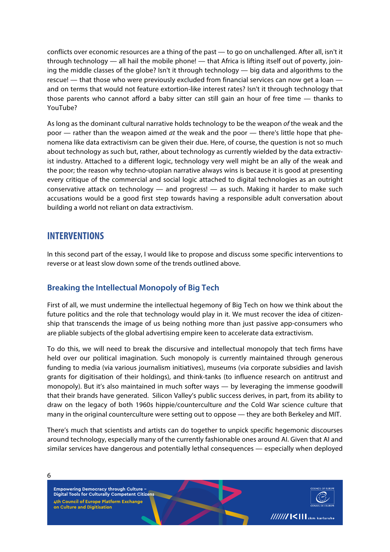conflicts over economic resources are a thing of the past — to go on unchallenged. After all, isn't it through technology — all hail the mobile phone! — that Africa is lifting itself out of poverty, joining the middle classes of the globe? Isn't it through technology — big data and algorithms to the rescue! — that those who were previously excluded from financial services can now get a loan and on terms that would not feature extortion-like interest rates? Isn't it through technology that those parents who cannot afford a baby sitter can still gain an hour of free time — thanks to YouTube?

As long as the dominant cultural narrative holds technology to be the weapon *of* the weak and the poor — rather than the weapon aimed *at* the weak and the poor — there's little hope that phenomena like data extractivism can be given their due. Here, of course, the question is not so much about technology as such but, rather, about technology as currently wielded by the data extractivist industry. Attached to a different logic, technology very well might be an ally of the weak and the poor; the reason why techno-utopian narrative always wins is because it is good at presenting every critique of the commercial and social logic attached to digital technologies as an outright conservative attack on technology  $-$  and progress!  $-$  as such. Making it harder to make such accusations would be a good first step towards having a responsible adult conversation about building a world not reliant on data extractivism.

# **INTERVENTIONS**

In this second part of the essay, I would like to propose and discuss some specific interventions to reverse or at least slow down some of the trends outlined above.

## **Breaking the Intellectual Monopoly of Big Tech**

First of all, we must undermine the intellectual hegemony of Big Tech on how we think about the future politics and the role that technology would play in it. We must recover the idea of citizenship that transcends the image of us being nothing more than just passive app-consumers who are pliable subjects of the global advertising empire keen to accelerate data extractivism.

To do this, we will need to break the discursive and intellectual monopoly that tech firms have held over our political imagination. Such monopoly is currently maintained through generous funding to media (via various journalism initiatives), museums (via corporate subsidies and lavish grants for digitisation of their holdings), and think-tanks (to influence research on antitrust and monopoly). But it's also maintained in much softer ways — by leveraging the immense goodwill that their brands have generated. Silicon Valley's public success derives, in part, from its ability to draw on the legacy of both 1960s hippie/counterculture *and* the Cold War science culture that many in the original counterculture were setting out to oppose — they are both Berkeley and MIT.

There's much that scientists and artists can do together to unpick specific hegemonic discourses around technology, especially many of the currently fashionable ones around AI. Given that AI and similar services have dangerous and potentially lethal consequences — especially when deployed

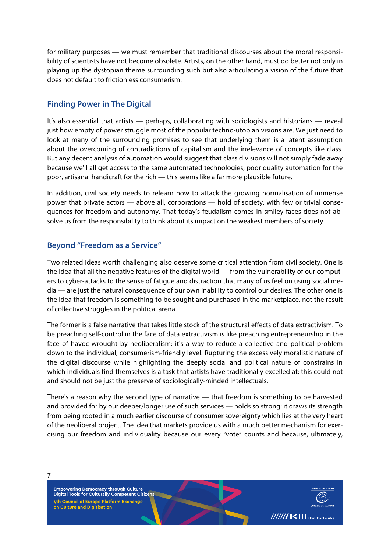for military purposes — we must remember that traditional discourses about the moral responsibility of scientists have not become obsolete. Artists, on the other hand, must do better not only in playing up the dystopian theme surrounding such but also articulating a vision of the future that does not default to frictionless consumerism.

## **Finding Power in The Digital**

It's also essential that artists — perhaps, collaborating with sociologists and historians — reveal just how empty of power struggle most of the popular techno-utopian visions are. We just need to look at many of the surrounding promises to see that underlying them is a latent assumption about the overcoming of contradictions of capitalism and the irrelevance of concepts like class. But any decent analysis of automation would suggest that class divisions will not simply fade away because we'll all get access to the same automated technologies; poor quality automation for the poor, artisanal handicraft for the rich — this seems like a far more plausible future.

In addition, civil society needs to relearn how to attack the growing normalisation of immense power that private actors — above all, corporations — hold of society, with few or trivial consequences for freedom and autonomy. That today's feudalism comes in smiley faces does not absolve us from the responsibility to think about its impact on the weakest members of society.

## **Beyond "Freedom as a Service"**

Two related ideas worth challenging also deserve some critical attention from civil society. One is the idea that all the negative features of the digital world — from the vulnerability of our computers to cyber-attacks to the sense of fatigue and distraction that many of us feel on using social media — are just the natural consequence of our own inability to control our desires. The other one is the idea that freedom is something to be sought and purchased in the marketplace, not the result of collective struggles in the political arena.

The former is a false narrative that takes little stock of the structural effects of data extractivism. To be preaching self-control in the face of data extractivism is like preaching entrepreneurship in the face of havoc wrought by neoliberalism: it's a way to reduce a collective and political problem down to the individual, consumerism-friendly level. Rupturing the excessively moralistic nature of the digital discourse while highlighting the deeply social and political nature of constrains in which individuals find themselves is a task that artists have traditionally excelled at; this could not and should not be just the preserve of sociologically-minded intellectuals.

There's a reason why the second type of narrative — that freedom is something to be harvested and provided for by our deeper/longer use of such services — holds so strong: it draws its strength from being rooted in a much earlier discourse of consumer sovereignty which lies at the very heart of the neoliberal project. The idea that markets provide us with a much better mechanism for exercising our freedom and individuality because our every "vote" counts and because, ultimately,

**Empowering Democracy through Culture – Digital Tools for Culturally Competent Citizens 4th Council of Europe Platform Exchange on Culture and Digitisation**

7

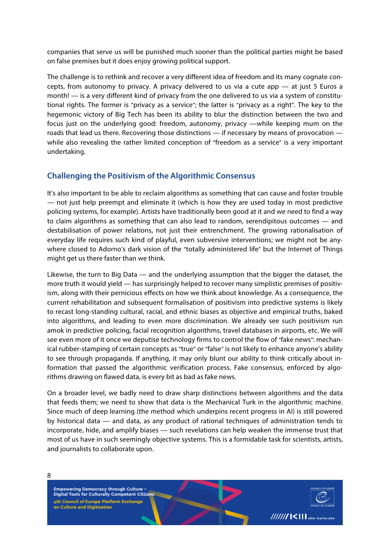companies that serve us will be punished much sooner than the political parties might be based on false premises but it does enjoy growing political support.

The challenge is to rethink and recover a very different idea of freedom and its many cognate concepts, from autonomy to privacy. A privacy delivered to us via a cute app — at just 5 Euros a month! — is a very different kind of privacy from the one delivered to us via a system of constitutional rights. The former is "privacy as a service"; the latter is "privacy as a right". The key to the hegemonic victory of Big Tech has been its ability to blur the distinction between the two and focus just on the underlying good: freedom, autonomy, privacy —while keeping mum on the roads that lead us there. Recovering those distinctions — if necessary by means of provocation while also revealing the rather limited conception of "freedom as a service" is a very important undertaking.

### **Challenging the Positivism of the Algorithmic Consensus**

It's also important to be able to reclaim algorithms as something that can cause and foster trouble — not just help preempt and eliminate it (which is how they are used today in most predictive policing systems, for example). Artists have traditionally been good at it and we need to find a way to claim algorithms as something that can also lead to random, serendipitous outcomes — and destabilisation of power relations, not just their entrenchment. The growing rationalisation of everyday life requires such kind of playful, even subversive interventions; we might not be anywhere closed to Adorno's dark vision of the "totally administered life" but the Internet of Things might get us there faster than we think.

Likewise, the turn to Big Data — and the underlying assumption that the bigger the dataset, the more truth it would yield — has surprisingly helped to recover many simplistic premises of positivism, along with their pernicious effects on how we think about knowledge. As a consequence, the current rehabilitation and subsequent formalisation of positivism into predictive systems is likely to recast long-standing cultural, racial, and ethnic biases as objective and empirical truths, baked into algorithms, and leading to even more discrimination. We already see such positivism run amok in predictive policing, facial recognition algorithms, travel databases in airports, etc. We will see even more of it once we deputise technology firms to control the flow of "fake news": mechanical rubber-stamping of certain concepts as "true" or "false" is not likely to enhance anyone's ability to see through propaganda. If anything, it may only blunt our ability to think critically about information that passed the algorithmic verification process. Fake consensus, enforced by algorithms drawing on flawed data, is every bit as bad as fake news.

On a broader level, we badly need to draw sharp distinctions between algorithms and the data that feeds them; we need to show that data is the Mechanical Turk in the algorithmic machine. Since much of deep learning (the method which underpins recent progress in AI) is still powered by historical data — and data, as any product of rational techniques of administration tends to incorporate, hide, and amplify biases — such revelations can help weaken the immense trust that most of us have in such seemingly objective systems. This is a formidable task for scientists, artists, and journalists to collaborate upon.